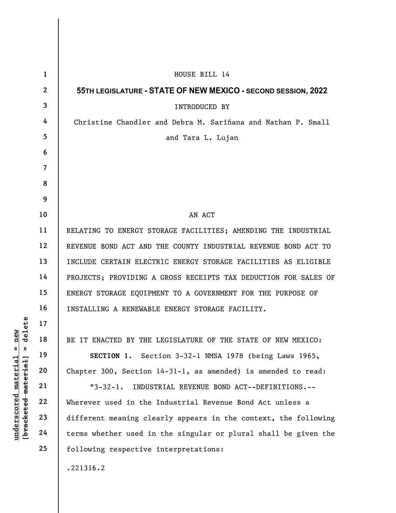UN DE IT ENACTED BY THE<br>
19 18 BE IT ENACTED BY THE<br>
19 SECTION 1. Sec<br>
20 Chapter 300, Section<br>
21 "3-32-1. INDUS"<br>
23 Wherever used in the<br>
24 different meaning cle<br>
terms whether used in 1 2 3 4 5 6 7 8 9 10 11 12 13 14 15 16 17 18 19 20 21 22 23 24 25 HOUSE BILL 14 55TH LEGISLATURE - STATE OF NEW MEXICO - SECOND SESSION, 2022 INTRODUCED BY Christine Chandler and Debra M. Sariñana and Nathan P. Small and Tara L. Lujan AN ACT RELATING TO ENERGY STORAGE FACILITIES; AMENDING THE INDUSTRIAL REVENUE BOND ACT AND THE COUNTY INDUSTRIAL REVENUE BOND ACT TO INCLUDE CERTAIN ELECTRIC ENERGY STORAGE FACILITIES AS ELIGIBLE PROJECTS; PROVIDING A GROSS RECEIPTS TAX DEDUCTION FOR SALES OF ENERGY STORAGE EQUIPMENT TO A GOVERNMENT FOR THE PURPOSE OF INSTALLING A RENEWABLE ENERGY STORAGE FACILITY. BE IT ENACTED BY THE LEGISLATURE OF THE STATE OF NEW MEXICO: SECTION 1. Section 3-32-1 NMSA 1978 (being Laws 1965, Chapter 300, Section 14-31-1, as amended) is amended to read: "3-32-1. INDUSTRIAL REVENUE BOND ACT--DEFINITIONS.-- Wherever used in the Industrial Revenue Bond Act unless a different meaning clearly appears in the context, the following terms whether used in the singular or plural shall be given the following respective interpretations: .221316.2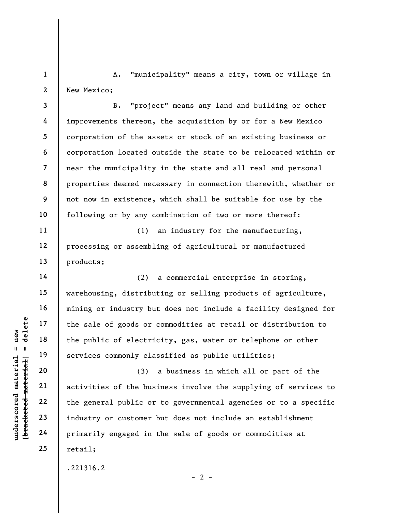1 2 A. "municipality" means a city, town or village in New Mexico;

3 7 8 9 10 B. "project" means any land and building or other improvements thereon, the acquisition by or for a New Mexico corporation of the assets or stock of an existing business or corporation located outside the state to be relocated within or near the municipality in the state and all real and personal properties deemed necessary in connection therewith, whether or not now in existence, which shall be suitable for use by the following or by any combination of two or more thereof:

(1) an industry for the manufacturing, processing or assembling of agricultural or manufactured products;

(2) a commercial enterprise in storing, warehousing, distributing or selling products of agriculture, mining or industry but does not include a facility designed for the sale of goods or commodities at retail or distribution to the public of electricity, gas, water or telephone or other services commonly classified as public utilities;

underscore of the sale of goods or<br>  $\begin{array}{c|c|c|c} \hline \text{u} & \text{u} & \text{u} & \text{u} \\ \hline \text{u} & \text{u} & \text{u} & \text{u} \\ \hline \text{u} & \text{u} & \text{u} & \text{u} \\ \hline \text{u} & \text{u} & \text{u} & \text{u} \\ \hline \text{u} & \text{u} & \text{u} & \text{u} \\ \hline \text{u} & \text{u} & \text{u} & \text{u} \\ \hline \text{u} & \$ (3) a business in which all or part of the activities of the business involve the supplying of services to the general public or to governmental agencies or to a specific industry or customer but does not include an establishment primarily engaged in the sale of goods or commodities at retail;

.221316.2

4

5

6

11

12

13

14

15

16

17

18

19

20

21

22

23

24

25

 $- 2 -$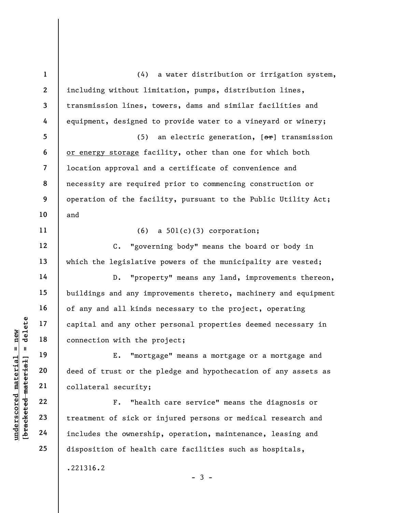under 17<br>
and 17<br>
under 18<br>
connection with the p<br>
connection with the p<br>
connection with the p<br>
E. "mortg<br>
E. "mortg<br>
E. "mortg<br>
E. "mortg<br>
E. "mortg<br>
E. "mortg<br>
E. "mortg<br>
E. "mortg<br>
E. "mortg<br>
E. "mortg<br>
E. "mortg<br>
E. " 1 2 3 4 5 6 7 8 9 10 11 12 13 14 15 16 17 18 19 20 21 22 23 24 25 (4) a water distribution or irrigation system, including without limitation, pumps, distribution lines, transmission lines, towers, dams and similar facilities and equipment, designed to provide water to a vineyard or winery; (5) an electric generation,  $[\theta^*]$  transmission or energy storage facility, other than one for which both location approval and a certificate of convenience and necessity are required prior to commencing construction or operation of the facility, pursuant to the Public Utility Act; and  $(6)$  a  $501(c)(3)$  corporation; C. "governing body" means the board or body in which the legislative powers of the municipality are vested; D. "property" means any land, improvements thereon, buildings and any improvements thereto, machinery and equipment of any and all kinds necessary to the project, operating capital and any other personal properties deemed necessary in connection with the project; E. "mortgage" means a mortgage or a mortgage and deed of trust or the pledge and hypothecation of any assets as collateral security; F. "health care service" means the diagnosis or treatment of sick or injured persons or medical research and includes the ownership, operation, maintenance, leasing and disposition of health care facilities such as hospitals, .221316.2

 $-3 -$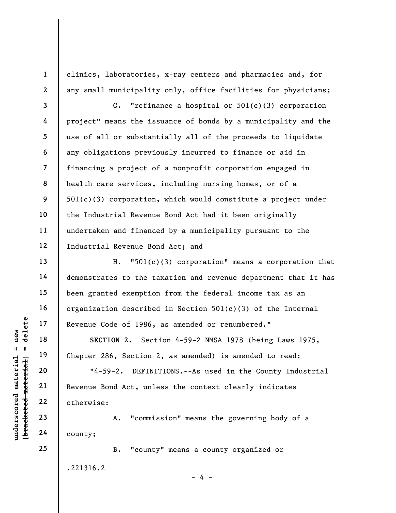clinics, laboratories, x-ray centers and pharmacies and, for any small municipality only, office facilities for physicians;

3 4 5 6 7 8 9 10 11 12 G. "refinance a hospital or 501(c)(3) corporation project" means the issuance of bonds by a municipality and the use of all or substantially all of the proceeds to liquidate any obligations previously incurred to finance or aid in financing a project of a nonprofit corporation engaged in health care services, including nursing homes, or of a 501(c)(3) corporation, which would constitute a project under the Industrial Revenue Bond Act had it been originally undertaken and financed by a municipality pursuant to the Industrial Revenue Bond Act; and

H. "501(c)(3) corporation" means a corporation that demonstrates to the taxation and revenue department that it has been granted exemption from the federal income tax as an organization described in Section 501(c)(3) of the Internal Revenue Code of 1986, as amended or renumbered."

SECTION 2. Section 4-59-2 NMSA 1978 (being Laws 1975, Chapter 286, Section 2, as amended) is amended to read:

underscored material = new [bracketed material] = delete "4-59-2. DEFINITIONS.--As used in the County Industrial Revenue Bond Act, unless the context clearly indicates otherwise:

A. "commission" means the governing body of a county;

B. "county" means a county organized or .221316.2

- 4 -

1

2

13

14

15

16

17

18

19

20

21

22

23

24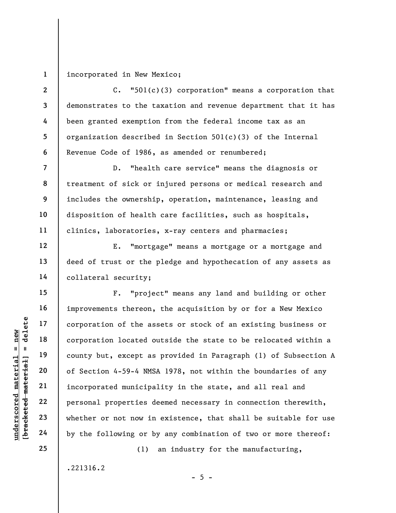1 incorporated in New Mexico;

2 3 4 5 C. "501(c)(3) corporation" means a corporation that demonstrates to the taxation and revenue department that it has been granted exemption from the federal income tax as an organization described in Section  $501(c)(3)$  of the Internal Revenue Code of 1986, as amended or renumbered;

D. "health care service" means the diagnosis or treatment of sick or injured persons or medical research and includes the ownership, operation, maintenance, leasing and disposition of health care facilities, such as hospitals, clinics, laboratories, x-ray centers and pharmacies;

E. "mortgage" means a mortgage or a mortgage and deed of trust or the pledge and hypothecation of any assets as collateral security;

understand material except as<br>
understand material except as<br>
understand the second to country but, except as<br>
of Section 4-59-4 NMS<br>
incorporated municipa<br>
22<br>
understand properties d<br>
23<br>
under a vertex of the municipa<br> F. "project" means any land and building or other improvements thereon, the acquisition by or for a New Mexico corporation of the assets or stock of an existing business or corporation located outside the state to be relocated within a county but, except as provided in Paragraph (1) of Subsection A of Section 4-59-4 NMSA 1978, not within the boundaries of any incorporated municipality in the state, and all real and personal properties deemed necessary in connection therewith, whether or not now in existence, that shall be suitable for use by the following or by any combination of two or more thereof:

(1) an industry for the manufacturing,

 $- 5 -$ 

.221316.2

6

7

8

9

10

11

12

13

14

15

16

17

18

19

20

21

22

23

24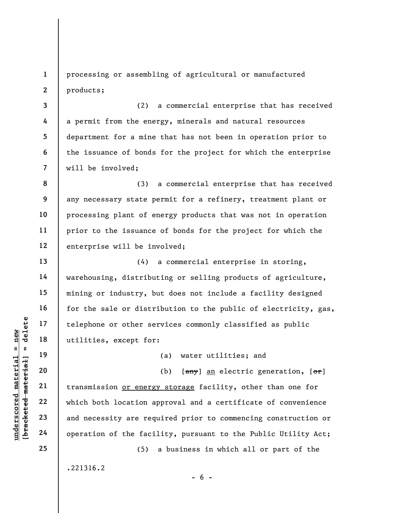1 2 processing or assembling of agricultural or manufactured products;

(2) a commercial enterprise that has received a permit from the energy, minerals and natural resources department for a mine that has not been in operation prior to the issuance of bonds for the project for which the enterprise will be involved;

8 9 10 11 12 (3) a commercial enterprise that has received any necessary state permit for a refinery, treatment plant or processing plant of energy products that was not in operation prior to the issuance of bonds for the project for which the enterprise will be involved;

(4) a commercial enterprise in storing, warehousing, distributing or selling products of agriculture, mining or industry, but does not include a facility designed for the sale or distribution to the public of electricity, gas, telephone or other services commonly classified as public utilities, except for:

(a) water utilities; and

understand material material except for<br>
understand material except for<br>
understand material contractions<br>
which both location a<br>
understand material contractions<br>
23<br>
understand material contractions<br>
24<br>
24<br>
24<br>
29<br>
29<br> (b)  $[\frac{any}{})$  an electric generation,  $[\frac{off}{})$ transmission or energy storage facility, other than one for which both location approval and a certificate of convenience and necessity are required prior to commencing construction or operation of the facility, pursuant to the Public Utility Act;

 $- 6 -$ 

(5) a business in which all or part of the

.221316.2

3

4

5

6

7

13

14

15

16

17

18

19

20

21

22

23

24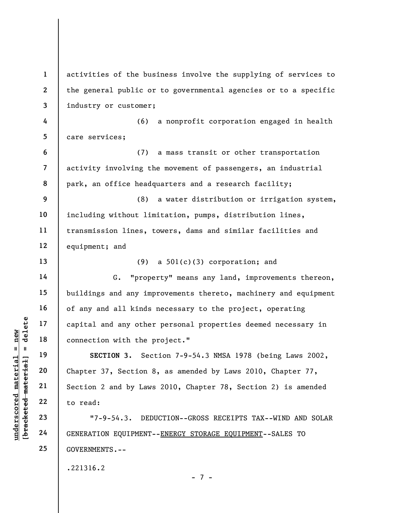under 17<br>
and 18<br>
under 18<br>
under 19<br>
20<br>
under 37, Section 8<br>
21<br>
22<br>
under 37, Section 8<br>
chapter 37, Section 8<br>
chapter 37, Section 8<br>
chapter 37, Section 8<br>
to read:<br>
23<br>
24<br>
GENERATION EQUIPMENT-1 2 3 4 5 6 7 8 9 10 11 12 13 14 15 16 17 18 19 20 21 22 23 24 25 activities of the business involve the supplying of services to the general public or to governmental agencies or to a specific industry or customer; (6) a nonprofit corporation engaged in health care services; (7) a mass transit or other transportation activity involving the movement of passengers, an industrial park, an office headquarters and a research facility; (8) a water distribution or irrigation system, including without limitation, pumps, distribution lines, transmission lines, towers, dams and similar facilities and equipment; and (9) a 501(c)(3) corporation; and G. "property" means any land, improvements thereon, buildings and any improvements thereto, machinery and equipment of any and all kinds necessary to the project, operating capital and any other personal properties deemed necessary in connection with the project." SECTION 3. Section 7-9-54.3 NMSA 1978 (being Laws 2002, Chapter 37, Section 8, as amended by Laws 2010, Chapter 77, Section 2 and by Laws 2010, Chapter 78, Section 2) is amended to read: "7-9-54.3. DEDUCTION--GROSS RECEIPTS TAX--WIND AND SOLAR GENERATION EQUIPMENT--ENERGY STORAGE EQUIPMENT--SALES TO GOVERNMENTS.-- .221316.2 - 7 -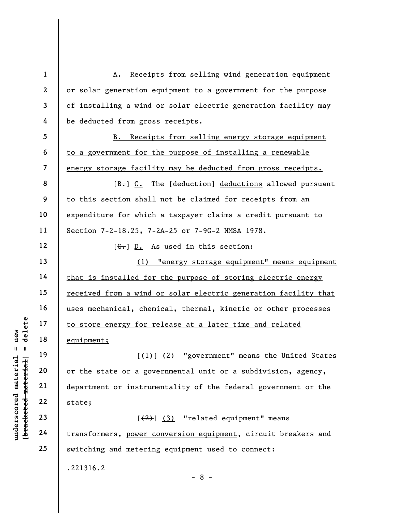$\begin{array}{c|c|c|c} \mathbf{u} & \mathbf{u} & \mathbf{u} & \mathbf{v} & \mathbf{v} & \mathbf{v} & \mathbf{v} & \mathbf{v} & \mathbf{v} & \mathbf{v} & \mathbf{v} & \mathbf{v} & \mathbf{v} & \mathbf{v} & \mathbf{v} & \mathbf{v} & \mathbf{v} & \mathbf{v} & \mathbf{v} & \mathbf{v} & \mathbf{v} & \mathbf{v} & \mathbf{v} & \mathbf{v} & \mathbf{v} & \mathbf{v} & \mathbf{v} & \mathbf{v} & \mathbf{v} & \mathbf{$ 1 2 3 4 5 6 7 8 9 10 11 12 13 14 15 16 17 18 19 20 21 22 23 A. Receipts from selling wind generation equipment or solar generation equipment to a government for the purpose of installing a wind or solar electric generation facility may be deducted from gross receipts. B. Receipts from selling energy storage equipment to a government for the purpose of installing a renewable energy storage facility may be deducted from gross receipts. [B.] C. The [deduction] deductions allowed pursuant to this section shall not be claimed for receipts from an expenditure for which a taxpayer claims a credit pursuant to Section 7-2-18.25, 7-2A-25 or 7-9G-2 NMSA 1978.  $[G<sub>1</sub>]$  D. As used in this section: (1) "energy storage equipment" means equipment that is installed for the purpose of storing electric energy received from a wind or solar electric generation facility that uses mechanical, chemical, thermal, kinetic or other processes to store energy for release at a later time and related equipment;  $[\frac{(1)}{2}]$  "government" means the United States or the state or a governmental unit or a subdivision, agency, department or instrumentality of the federal government or the state;

 $[\frac{2}{2}]$  (3) "related equipment" means transformers, power conversion equipment, circuit breakers and switching and metering equipment used to connect:

- 8 -

.221316.2

24